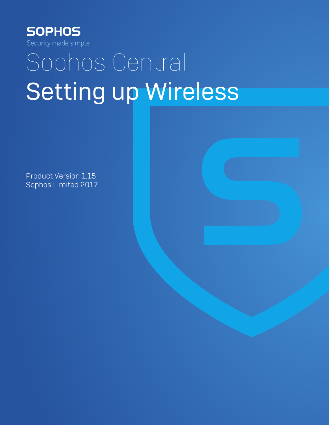

# Sophos Central Setting up Wireless

Product Version 1.15 Sophos Limited 2017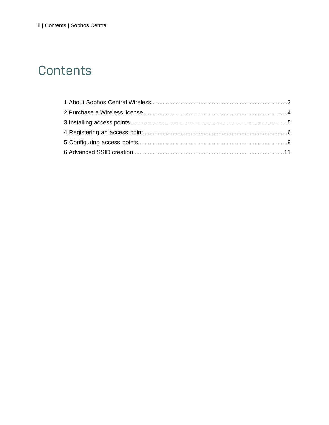### Contents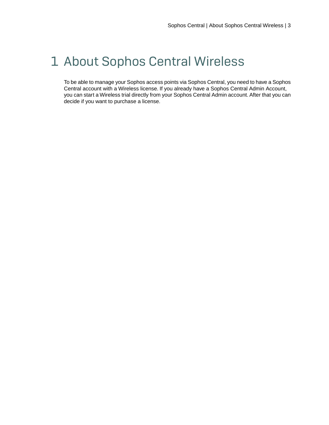### <span id="page-2-0"></span>1 About Sophos Central Wireless

To be able to manage your Sophos access points via Sophos Central, you need to have a Sophos Central account with a Wireless license. If you already have a Sophos Central Admin Account, you can start a Wireless trial directly from your Sophos Central Admin account. After that you can decide if you want to purchase a license.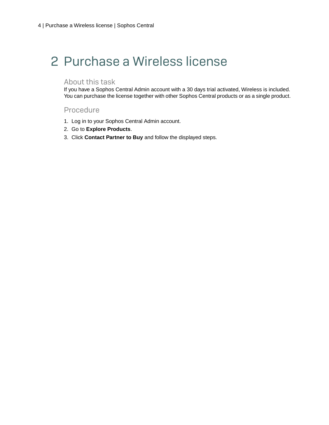## <span id="page-3-0"></span>2 Purchase a Wireless license

#### About this task

If you have a Sophos Central Admin account with a 30 days trial activated, Wireless is included. You can purchase the license together with other Sophos Central products or as a single product.

#### Procedure

- 1. Log in to your Sophos Central Admin account.
- 2. Go to **Explore Products**.
- 3. Click **Contact Partner to Buy** and follow the displayed steps.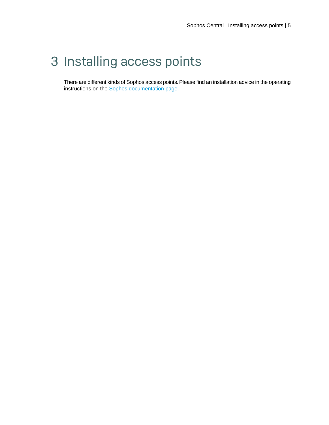### <span id="page-4-0"></span>3 Installing access points

There are different kinds of Sophos access points. Please find an installation advice in the operating instructions on the [Sophos documentation page](https://www.sophos.com/en-us/support/documentation/sophos-access-point.aspx).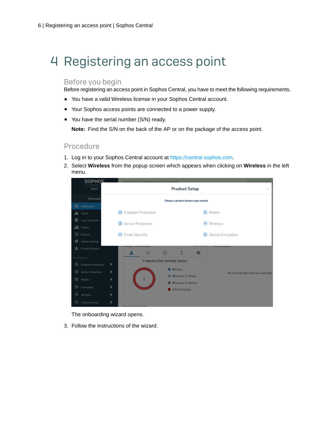## <span id="page-5-0"></span>4 Registering an access point

#### Before you begin

Before registering an access point in Sophos Central, you have to meet the following requirements.

- You have a valid Wireless license in your Sophos Central account.
- Your Sophos access points are connected to a power supply.
- You have the serial number (S/N) ready.

**Note:** Find the S/N on the back of the AP or on the package of the access point.

#### Procedure

- 1. Log in to your Sophos Central account at <https://central.sophos.com>.
- 2. Select **Wireless** from the popup screen which appears when clicking on **Wireless** in the left menu.



The onboarding wizard opens.

3. Follow the instructions of the wizard.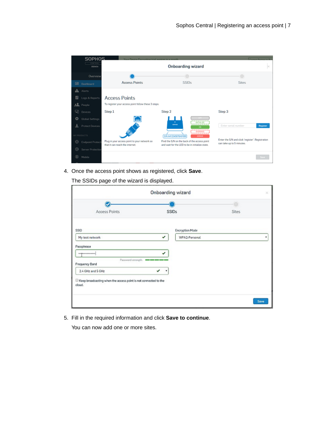

4. Once the access point shows as registered, click **Save**.

The SSIDs page of the wizard is displayed.

|                                                                             | Onboarding wizard |                 |              | ×    |
|-----------------------------------------------------------------------------|-------------------|-----------------|--------------|------|
|                                                                             |                   |                 | O            |      |
| Access Points                                                               | <b>SSIDs</b>      |                 | <b>Sites</b> |      |
| SSID                                                                        |                   | Encryption Mode |              |      |
| My test network                                                             | ✓                 | WPA2-Personal   |              | ۰    |
| Passphrase                                                                  |                   |                 |              |      |
|                                                                             | ✔                 |                 |              |      |
| Password strength: <a><br/>Frequency Band</a>                               |                   |                 |              |      |
| 2.4 GHz and 5 GHz                                                           | ے<br>٠            |                 |              |      |
| E Keep broadcasting when the access point is not connected to the<br>cloud. |                   |                 |              |      |
|                                                                             |                   |                 |              | Save |

5. Fill in the required information and click **Save to continue**.

You can now add one or more sites.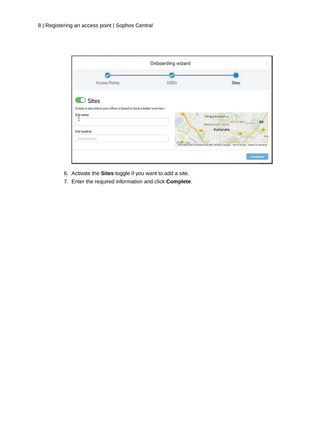

- 6. Activate the **Sites** toggle if you want to add a site.
- 7. Enter the required information and click **Complete**.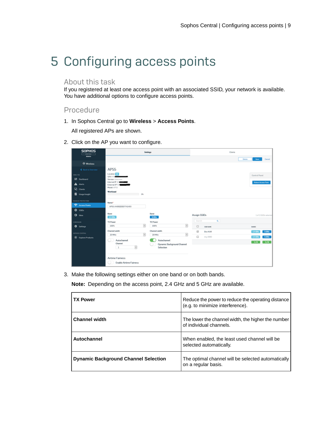# <span id="page-8-0"></span>5 Configuring access points

#### About this task

If you registered at least one access point with an associated SSID, your network is available. You have additional options to configure access points.

#### Procedure

1. In Sophos Central go to **Wireless** > **Access Points**.

All registered APs are shown.

2. Click on the AP you want to configure.

| <b>SOPHOS</b><br>$C$ in the $C$<br><b>Admin</b>                                                       |                                                                                                                                                                  | Settings                                                                                        |              | Clients                     |                          |                            |
|-------------------------------------------------------------------------------------------------------|------------------------------------------------------------------------------------------------------------------------------------------------------------------|-------------------------------------------------------------------------------------------------|--------------|-----------------------------|--------------------------|----------------------------|
| <b>&amp; Weekss</b>                                                                                   |                                                                                                                                                                  |                                                                                                 |              |                             | Oslate<br>Save -         | <b>Cancel</b>              |
| 4 Back to Deervere                                                                                    | AP55                                                                                                                                                             |                                                                                                 |              |                             |                          |                            |
| <b>MIATOL</b><br><b>Ed</b> Deshboard<br>$\mathbf{A}$ Marts<br><b>Volume</b><br><b>D</b> Usage Insight | <b>Lecation</b> [13]<br><b>SAM AND IN</b><br><b>Vension</b> Unknown<br>Internal IP 10<br>External, IP 525<br>Model APSS<br>Worldoad<br>6%                        |                                                                                                 |              |                             | Control Panel            | <b>Reboot Access Point</b> |
| MANAGE PROTECTION<br><b>C</b> Access Points<br>$0 \nIm$<br><b>O</b> Stor                              | Name <sup>4</sup><br>APSS-ANOXODDEFT41493<br>Band<br>24 GHz                                                                                                      | Band<br><b>SGNc</b>                                                                             | Assign SSIDs |                             |                          | 1 of 1:550s selected       |
| <b>CONFIDERE</b><br>0.5 <sub>0</sub>                                                                  | TX Power<br>$\overline{\mathbf{v}}$<br>100%                                                                                                                      | TX Pawer<br>$\overline{\mathbf{v}}$<br>100%                                                     | Search<br>0  | $\alpha$<br><b>DOE NAME</b> | <b>BURGHIS</b>           |                            |
| GOVING CENTRAL<br><b>B</b> Explore Products                                                           | Channel width<br>$\sim$<br>30 MHz<br><b>Autochannel</b><br>w<br>Channel.<br>R<br>$\mathbf{I}$<br><b>Airtime Fairness</b><br><b>Enable Airtime Fairness</b><br>O. | Channel width<br>$\omega$<br>2010/02<br>Autochannel.<br>Dynamic Background Channel<br>Selection | 図<br>$\Box$  | Doc KAR<br>$m_{X}$ 880      | 2.4 GHz<br>2.5126<br>1/8 | 5 GHz<br>500<br>3/8        |

3. Make the following settings either on one band or on both bands.

**Note:** Depending on the access point, 2.4 GHz and 5 GHz are available.

| <b>TX Power</b>                             | Reduce the power to reduce the operating distance<br>(e.g. to minimize interference). |
|---------------------------------------------|---------------------------------------------------------------------------------------|
| <b>Channel width</b>                        | The lower the channel width, the higher the number<br>of individual channels.         |
| Autochannel                                 | When enabled, the least used channel will be<br>selected automatically.               |
| <b>Dynamic Background Channel Selection</b> | The optimal channel will be selected automatically<br>on a regular basis.             |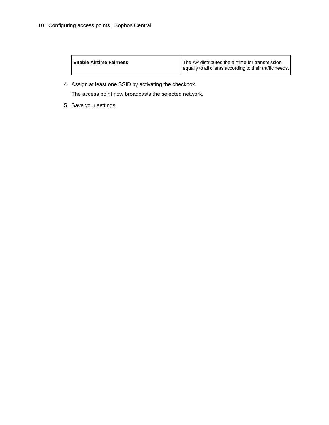| <b>Enable Airtime Fairness</b> | The AP distributes the airtime for transmission<br>equally to all clients according to their traffic needs. |
|--------------------------------|-------------------------------------------------------------------------------------------------------------|
|                                |                                                                                                             |

4. Assign at least one SSID by activating the checkbox.

The access point now broadcasts the selected network.

5. Save your settings.